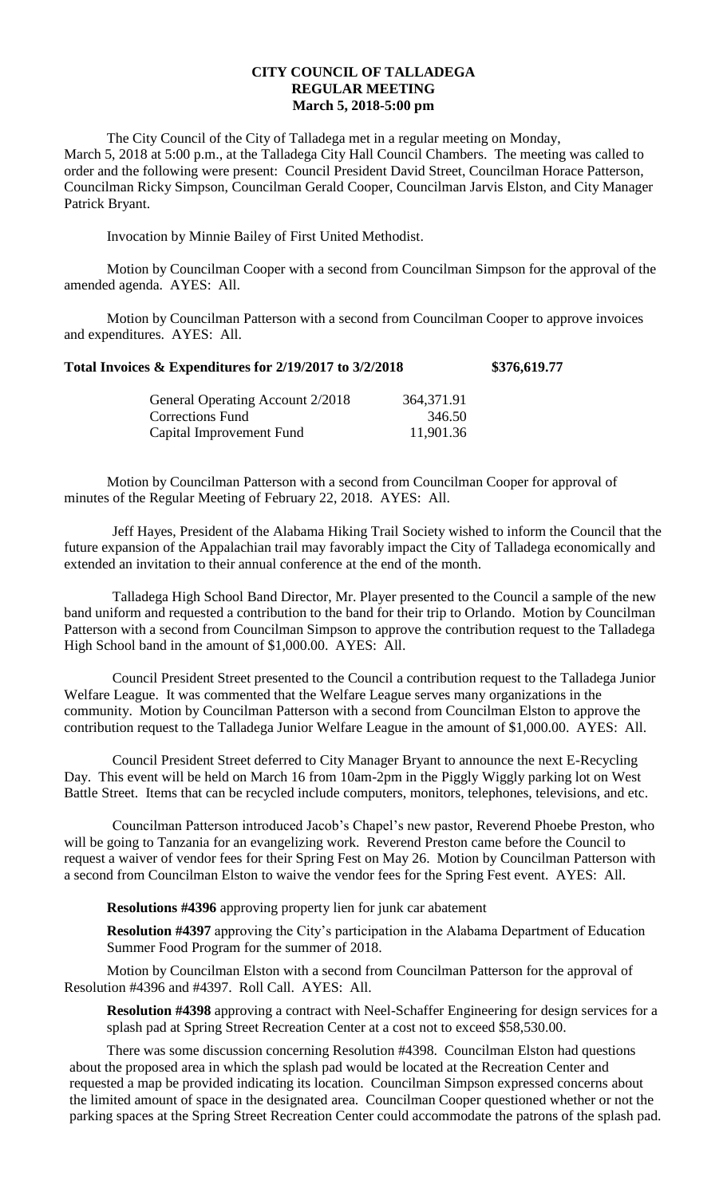## **CITY COUNCIL OF TALLADEGA REGULAR MEETING March 5, 2018-5:00 pm**

The City Council of the City of Talladega met in a regular meeting on Monday, March 5, 2018 at 5:00 p.m., at the Talladega City Hall Council Chambers. The meeting was called to order and the following were present: Council President David Street, Councilman Horace Patterson, Councilman Ricky Simpson, Councilman Gerald Cooper, Councilman Jarvis Elston, and City Manager Patrick Bryant.

Invocation by Minnie Bailey of First United Methodist.

Motion by Councilman Cooper with a second from Councilman Simpson for the approval of the amended agenda. AYES: All.

Motion by Councilman Patterson with a second from Councilman Cooper to approve invoices and expenditures. AYES: All.

## **Total Invoices & Expenditures for 2/19/2017 to 3/2/2018 \$376,619.77**

| General Operating Account 2/2018 | 364,371.91 |
|----------------------------------|------------|
| Corrections Fund                 | 346.50     |
| Capital Improvement Fund         | 11,901.36  |

Motion by Councilman Patterson with a second from Councilman Cooper for approval of minutes of the Regular Meeting of February 22, 2018. AYES: All.

Jeff Hayes, President of the Alabama Hiking Trail Society wished to inform the Council that the future expansion of the Appalachian trail may favorably impact the City of Talladega economically and extended an invitation to their annual conference at the end of the month.

Talladega High School Band Director, Mr. Player presented to the Council a sample of the new band uniform and requested a contribution to the band for their trip to Orlando. Motion by Councilman Patterson with a second from Councilman Simpson to approve the contribution request to the Talladega High School band in the amount of \$1,000.00. AYES: All.

Council President Street presented to the Council a contribution request to the Talladega Junior Welfare League. It was commented that the Welfare League serves many organizations in the community. Motion by Councilman Patterson with a second from Councilman Elston to approve the contribution request to the Talladega Junior Welfare League in the amount of \$1,000.00. AYES: All.

Council President Street deferred to City Manager Bryant to announce the next E-Recycling Day. This event will be held on March 16 from 10am-2pm in the Piggly Wiggly parking lot on West Battle Street. Items that can be recycled include computers, monitors, telephones, televisions, and etc.

Councilman Patterson introduced Jacob's Chapel's new pastor, Reverend Phoebe Preston, who will be going to Tanzania for an evangelizing work. Reverend Preston came before the Council to request a waiver of vendor fees for their Spring Fest on May 26. Motion by Councilman Patterson with a second from Councilman Elston to waive the vendor fees for the Spring Fest event. AYES: All.

**Resolutions #4396** approving property lien for junk car abatement

**Resolution #4397** approving the City's participation in the Alabama Department of Education Summer Food Program for the summer of 2018.

Motion by Councilman Elston with a second from Councilman Patterson for the approval of Resolution #4396 and #4397. Roll Call. AYES: All.

**Resolution #4398** approving a contract with Neel-Schaffer Engineering for design services for a splash pad at Spring Street Recreation Center at a cost not to exceed \$58,530.00.

There was some discussion concerning Resolution #4398. Councilman Elston had questions about the proposed area in which the splash pad would be located at the Recreation Center and requested a map be provided indicating its location. Councilman Simpson expressed concerns about the limited amount of space in the designated area. Councilman Cooper questioned whether or not the parking spaces at the Spring Street Recreation Center could accommodate the patrons of the splash pad.